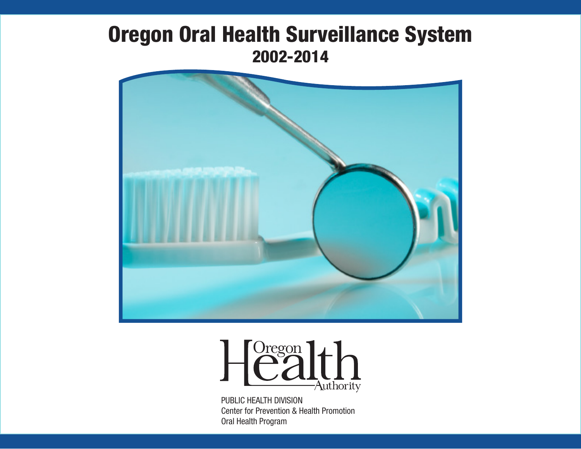## Oregon Oral Health Surveillance System 2002-2014





PUBLIC HEALTH DIVISION Center for Prevention & Health Promotion Oral Health Program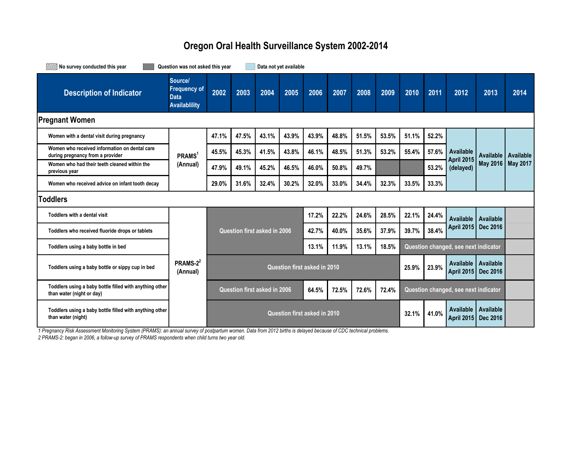## Oregon Oral Health Surveillance System 2002-2014

| No survey conducted this year                                                        | Question was not asked this year                                      |       |       |                              | Data not yet available       |       |       |       |       |                                      |       |                                             |                                              |                       |
|--------------------------------------------------------------------------------------|-----------------------------------------------------------------------|-------|-------|------------------------------|------------------------------|-------|-------|-------|-------|--------------------------------------|-------|---------------------------------------------|----------------------------------------------|-----------------------|
| <b>Description of Indicator</b>                                                      | Source/<br><b>Frequency of</b><br><b>Data</b><br><b>Availablility</b> | 2002  | 2003  | 2004                         | 2005                         | 2006  | 2007  | 2008  | 2009  | 2010                                 | 2011  | 2012                                        | 2013                                         | 2014                  |
| <b>Pregnant Women</b>                                                                |                                                                       |       |       |                              |                              |       |       |       |       |                                      |       |                                             |                                              |                       |
| Women with a dental visit during pregnancy                                           |                                                                       | 47.1% | 47.5% | 43.1%                        | 43.9%                        | 43.9% | 48.8% | 51.5% | 53.5% | 51.1%                                | 52.2% |                                             |                                              |                       |
| Women who received information on dental care<br>during pregnancy from a provider    | PRAMS <sup>1</sup>                                                    | 45.5% | 45.3% | 41.5%                        | 43.8%                        | 46.1% | 48.5% | 51.3% | 53.2% | 55.4%                                | 57.6% | Available<br><b>April 2015</b><br>(delayed) |                                              | Available   Available |
| Women who had their teeth cleaned within the<br>previous year                        | (Annual)                                                              | 47.9% | 49.1% | 45.2%                        | 46.5%                        | 46.0% | 50.8% | 49.7% |       |                                      | 53.2% |                                             |                                              | May 2016 May 2017     |
| Women who received advice on infant tooth decay                                      |                                                                       | 29.0% | 31.6% | 32.4%                        | 30.2%                        | 32.0% | 33.0% | 34.4% | 32.3% | 33.5%                                | 33.3% |                                             |                                              |                       |
| Toddlers                                                                             |                                                                       |       |       |                              |                              |       |       |       |       |                                      |       |                                             |                                              |                       |
| <b>Toddlers with a dental visit</b>                                                  |                                                                       |       |       |                              |                              | 17.2% | 22.2% | 24.6% | 28.5% | 22.1%                                | 24.4% | Available                                   | Available<br><b>Dec 2016</b>                 |                       |
| Toddlers who received fluoride drops or tablets                                      |                                                                       |       |       | Question first asked in 2006 |                              | 42.7% | 40.0% | 35.6% | 37.9% | 39.7%                                | 38.4% | April 2015                                  |                                              |                       |
| Toddlers using a baby bottle in bed                                                  |                                                                       |       |       |                              |                              | 13.1% | 11.9% | 13.1% | 18.5% | Question changed, see next indicator |       |                                             |                                              |                       |
| Toddlers using a baby bottle or sippy cup in bed                                     | PRAMS-2 <sup>2</sup><br>(Annual)                                      |       |       |                              | Question first asked in 2010 |       |       |       |       | 25.9%                                | 23.9% |                                             | Available   Available<br>April 2015 Dec 2016 |                       |
| Toddlers using a baby bottle filled with anything other<br>than water (night or day) |                                                                       |       |       | Question first asked in 2006 |                              | 64.5% | 72.5% | 72.6% | 72.4% | Question changed, see next indicator |       |                                             |                                              |                       |
| Toddlers using a baby bottle filled with anything other<br>than water (night)        |                                                                       |       |       |                              | Question first asked in 2010 |       |       |       |       | 32.1%                                | 41.0% | Available<br><b>April 2015</b>              | Available<br><b>Dec 2016</b>                 |                       |

1 Pregnancy Risk Assessment Monitoring System (PRAMS): an annual survey of postpartum women. Data from 2012 births is delayed because of CDC technical problems.

2 PRAMS-2: began in 2006, a follow-up survey of PRAMS respondents when child turns two year old.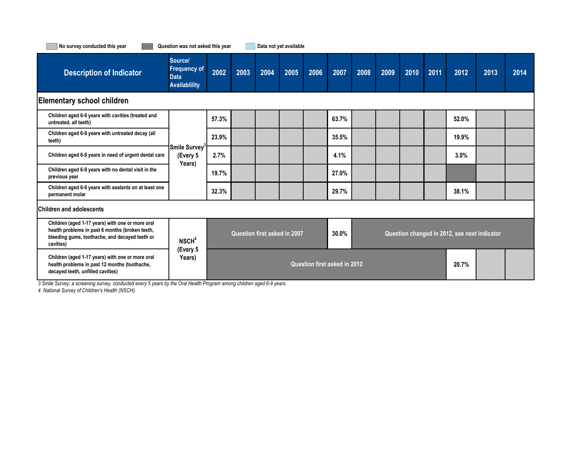| WM)<br>No survey conducted this year<br>Question was not asked this year<br>Data not yet available                                                                 |                                                                       |       |      |                              |       |      |       |                                              |      |      |      |       |      |      |
|--------------------------------------------------------------------------------------------------------------------------------------------------------------------|-----------------------------------------------------------------------|-------|------|------------------------------|-------|------|-------|----------------------------------------------|------|------|------|-------|------|------|
| <b>Description of Indicator</b>                                                                                                                                    | Source/<br><b>Frequency of</b><br><b>Data</b><br><b>Availablility</b> | 2002  | 2003 | 2004                         | 2005  | 2006 | 2007  | 2008                                         | 2009 | 2010 | 2011 | 2012  | 2013 | 2014 |
| Elementary school children                                                                                                                                         |                                                                       |       |      |                              |       |      |       |                                              |      |      |      |       |      |      |
| Children aged 6-9 years with cavities (treated and<br>untreated, all teeth)                                                                                        |                                                                       | 57.3% |      |                              |       |      | 63.7% |                                              |      |      |      | 52.0% |      |      |
| Children aged 6-9 years with untreated decay (all<br>teeth)                                                                                                        |                                                                       | 23.9% |      |                              |       |      | 35.5% |                                              |      |      |      | 19.9% |      |      |
| Children aged 6-9 years in need of urgent dental care                                                                                                              | Smile Survey <sup>3</sup><br>(Every 5                                 | 2.7%  |      |                              |       |      | 4.1%  |                                              |      |      |      | 3.0%  |      |      |
| Children aged 6-9 years with no dental visit in the<br>previous year                                                                                               | Years)                                                                | 19.7% |      |                              |       |      | 27.0% |                                              |      |      |      |       |      |      |
| Children aged 6-9 years with sealants on at least one<br>permanent molar                                                                                           |                                                                       | 32.3% |      |                              |       |      | 29.7% |                                              |      |      |      | 38.1% |      |      |
| <b>Children and adolescents</b>                                                                                                                                    |                                                                       |       |      |                              |       |      |       |                                              |      |      |      |       |      |      |
| Children (aged 1-17 years) with one or more oral<br>health problems in past 6 months (broken teeth,<br>bleeding gums, toothache, and decayed teeth or<br>cavities) | NSCH <sup>4</sup>                                                     |       |      | Question first asked in 2007 |       |      | 30.0% | Question changed in 2012, see next indicator |      |      |      |       |      |      |
| Children (aged 1-17 years) with one or more oral<br>health problems in past 12 months (toothache,<br>decayed teeth, unfilled cavities)                             | (Every 5<br>Years)                                                    |       |      |                              | 20.7% |      |       |                                              |      |      |      |       |      |      |

3 Smile Survey: a screening survey, conducted every 5 years by the Oral Health Program among children aged 6-9 years. 4 National Survey of Children's Health (NSCH).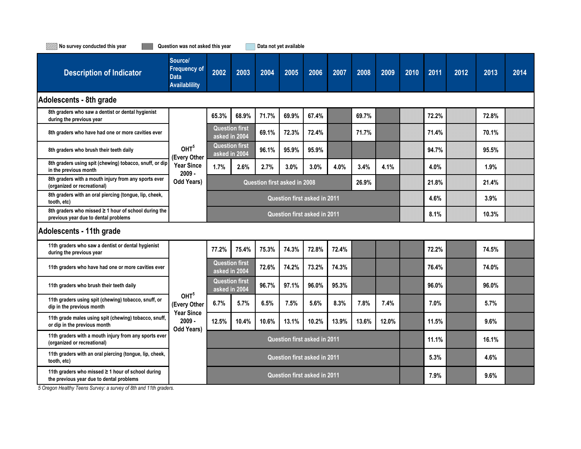| No survey conducted this year                                                                     | Question was not asked this year                                      |       |                                        |                              | Data not yet available              |       |       |       |       |      |       |      |       |      |
|---------------------------------------------------------------------------------------------------|-----------------------------------------------------------------------|-------|----------------------------------------|------------------------------|-------------------------------------|-------|-------|-------|-------|------|-------|------|-------|------|
| <b>Description of Indicator</b>                                                                   | Source/<br><b>Frequency of</b><br><b>Data</b><br><b>Availablility</b> | 2002  | 2003                                   | 2004                         | 2005                                | 2006  | 2007  | 2008  | 2009  | 2010 | 2011  | 2012 | 2013  | 2014 |
| Adolescents - 8th grade                                                                           |                                                                       |       |                                        |                              |                                     |       |       |       |       |      |       |      |       |      |
| 8th graders who saw a dentist or dental hygienist<br>during the previous year                     |                                                                       | 65.3% | 68.9%                                  | 71.7%                        | 69.9%                               | 67.4% |       | 69.7% |       |      | 72.2% |      | 72.8% |      |
| 8th graders who have had one or more cavities ever                                                |                                                                       |       | <b>Question first</b><br>asked in 2004 | 69.1%                        | 72.3%                               | 72.4% |       | 71.7% |       |      | 71.4% |      | 70.1% |      |
| 8th graders who brush their teeth daily                                                           | OHT <sup>5</sup><br>(Every Other                                      |       | <b>Question first</b><br>asked in 2004 | 96.1%                        | 95.9%                               | 95.9% |       |       |       |      | 94.7% |      | 95.5% |      |
| 8th graders using spit (chewing) tobacco, snuff, or dip<br>in the previous month                  | <b>Year Since</b><br>$2009 -$                                         | 1.7%  | 2.6%                                   | 2.7%                         | 3.0%                                | 3.0%  | 4.0%  | 3.4%  | 4.1%  |      | 4.0%  |      | 1.9%  |      |
| 8th graders with a mouth injury from any sports ever<br>(organized or recreational)               | <b>Odd Years)</b>                                                     |       |                                        | Question first asked in 2008 |                                     |       |       |       | 21.8% |      | 21.4% |      |       |      |
| 8th graders with an oral piercing (tongue, lip, cheek,<br>tooth, etc)                             |                                                                       |       |                                        |                              | Question first asked in 2011        |       |       |       | 4.6%  |      | 3.9%  |      |       |      |
| 8th graders who missed $\geq$ 1 hour of school during the<br>previous year due to dental problems |                                                                       |       |                                        |                              | <b>Question first asked in 2011</b> |       |       |       | 8.1%  |      | 10.3% |      |       |      |
| Adolescents - 11th grade                                                                          |                                                                       |       |                                        |                              |                                     |       |       |       |       |      |       |      |       |      |
| 11th graders who saw a dentist or dental hygienist<br>during the previous year                    |                                                                       | 77.2% | 75.4%                                  | 75.3%                        | 74.3%                               | 72.8% | 72.4% |       |       |      | 72.2% |      | 74.5% |      |
| 11th graders who have had one or more cavities ever                                               |                                                                       |       | <b>Question first</b><br>asked in 2004 | 72.6%                        | 74.2%                               | 73.2% | 74.3% |       |       |      | 76.4% |      | 74.0% |      |
| 11th graders who brush their teeth daily                                                          |                                                                       |       | <b>Question first</b><br>asked in 2004 | 96.7%                        | 97.1%                               | 96.0% | 95.3% |       |       |      | 96.0% |      | 96.0% |      |
| 11th graders using spit (chewing) tobacco, snuff, or<br>dip in the previous month                 | OHT <sup>5</sup><br>(Every Other                                      | 6.7%  | 5.7%                                   | 6.5%                         | 7.5%                                | 5.6%  | 8.3%  | 7.8%  | 7.4%  |      | 7.0%  |      | 5.7%  |      |
| 11th grade males using spit (chewing) tobacco, snuff,<br>or dip in the previous month             | <b>Year Since</b><br>$2009 -$<br><b>Odd Years)</b>                    | 12.5% | 10.4%                                  | 10.6%                        | 13.1%                               | 10.2% | 13.9% | 13.6% | 12.0% |      | 11.5% |      | 9.6%  |      |
| 11th graders with a mouth injury from any sports ever<br>(organized or recreational)              |                                                                       |       |                                        |                              | Question first asked in 2011        |       |       |       | 11.1% |      | 16.1% |      |       |      |
| 11th graders with an oral piercing (tongue, lip, cheek,<br>tooth, etc)                            |                                                                       |       |                                        |                              | Question first asked in 2011        |       |       | 5.3%  |       | 4.6% |       |      |       |      |
| 11th graders who missed ≥ 1 hour of school during<br>the previous year due to dental problems     |                                                                       |       |                                        |                              | <b>Question first asked in 2011</b> |       |       |       |       |      | 7.9%  |      | 9.6%  |      |

5 Oregon Healthy Teens Survey: a survey of 8th and 11th graders.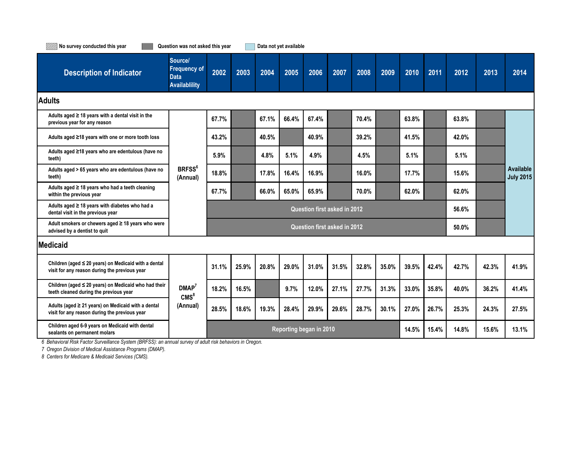| No survey conducted this year                                                                              | Question was not asked this year                                      |       |                              |       | Data not yet available  |       |       |       |       |       |       |       |       |                                      |  |
|------------------------------------------------------------------------------------------------------------|-----------------------------------------------------------------------|-------|------------------------------|-------|-------------------------|-------|-------|-------|-------|-------|-------|-------|-------|--------------------------------------|--|
| <b>Description of Indicator</b>                                                                            | Source/<br><b>Frequency of</b><br><b>Data</b><br><b>Availablility</b> | 2002  | 2003                         | 2004  | 2005                    | 2006  | 2007  | 2008  | 2009  | 2010  | 2011  | 2012  | 2013  | 2014                                 |  |
| <b>Adults</b>                                                                                              |                                                                       |       |                              |       |                         |       |       |       |       |       |       |       |       |                                      |  |
| Adults aged $\geq$ 18 years with a dental visit in the<br>previous year for any reason                     |                                                                       | 67.7% |                              | 67.1% | 66.4%                   | 67.4% |       | 70.4% |       | 63.8% |       | 63.8% |       |                                      |  |
| Adults aged ≥18 years with one or more tooth loss                                                          |                                                                       | 43.2% |                              | 40.5% |                         | 40.9% |       | 39.2% |       | 41.5% |       | 42.0% |       |                                      |  |
| Adults aged ≥18 years who are edentulous (have no<br>teeth)                                                |                                                                       | 5.9%  |                              | 4.8%  | 5.1%                    | 4.9%  |       | 4.5%  |       | 5.1%  |       | 5.1%  |       | <b>Available</b><br><b>July 2015</b> |  |
| Adults aged > 65 years who are edentulous (have no<br>teeth)                                               | <b>BRFSS</b> <sup>6</sup><br>(Annual)                                 | 18.8% |                              | 17.8% | 16.4%                   | 16.9% |       | 16.0% |       | 17.7% |       | 15.6% |       |                                      |  |
| Adults aged $\geq$ 18 years who had a teeth cleaning<br>within the previous year                           |                                                                       | 67.7% |                              | 66.0% | 65.0%                   | 65.9% |       | 70.0% |       | 62.0% |       | 62.0% |       |                                      |  |
| Adults aged ≥ 18 years with diabetes who had a<br>dental visit in the previous year                        |                                                                       |       |                              |       | 56.6%                   |       |       |       |       |       |       |       |       |                                      |  |
| Adult smokers or chewers aged ≥ 18 years who were<br>advised by a dentist to quit                          |                                                                       |       | Question first asked in 2012 |       |                         |       |       |       |       |       |       |       |       |                                      |  |
| <b>Medicaid</b>                                                                                            |                                                                       |       |                              |       |                         |       |       |       |       |       |       |       |       |                                      |  |
| Children (aged $\leq$ 20 years) on Medicaid with a dental<br>visit for any reason during the previous year |                                                                       | 31.1% | 25.9%                        | 20.8% | 29.0%                   | 31.0% | 31.5% | 32.8% | 35.0% | 39.5% | 42.4% | 42.7% | 42.3% | 41.9%                                |  |
| Children (aged ≤ 20 years) on Medicaid who had their<br>teeth cleaned during the previous year             | DMAP <sup>7</sup><br>CMS <sup>8</sup>                                 | 18.2% | 16.5%                        |       | 9.7%                    | 12.0% | 27.1% | 27.7% | 31.3% | 33.0% | 35.8% | 40.0% | 36.2% | 41.4%                                |  |
| Adults (aged ≥ 21 years) on Medicaid with a dental<br>visit for any reason during the previous year        | (Annual)                                                              | 28.5% | 18.6%                        | 19.3% | 28.4%                   | 29.9% | 29.6% | 28.7% | 30.1% | 27.0% | 26.7% | 25.3% | 24.3% | 27.5%                                |  |
| Children aged 6-9 years on Medicaid with dental<br>sealants on permanent molars                            |                                                                       |       |                              |       | Reporting began in 2010 | 14.5% | 15.4% | 14.8% | 15.6% | 13.1% |       |       |       |                                      |  |

6 Behavioral Risk Factor Surveillance System (BRFSS): an annual survey of adult risk behaviors in Oregon. 7 Oregon Division of Medical Assistance Programs (DMAP). 8 Centers for Medicare & Medicaid Services (CMS).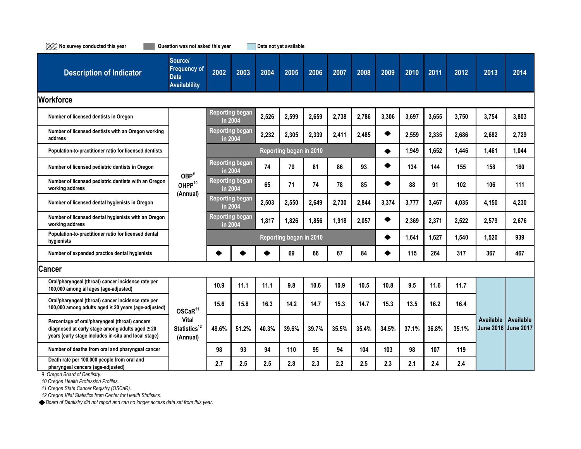| No survey conducted this year                                                                                                                                  | Question was not asked this year                                      |                                   |                                   | Data not yet available |                         |       |       |       |           |       |        |       |                       |                     |  |
|----------------------------------------------------------------------------------------------------------------------------------------------------------------|-----------------------------------------------------------------------|-----------------------------------|-----------------------------------|------------------------|-------------------------|-------|-------|-------|-----------|-------|--------|-------|-----------------------|---------------------|--|
| <b>Description of Indicator</b>                                                                                                                                | Source/<br><b>Frequency of</b><br><b>Data</b><br><b>Availablility</b> | 2002                              | 2003                              | 2004                   | 2005                    | 2006  | 2007  | 2008  | 2009      | 2010  | 2011   | 2012  | 2013                  | 2014                |  |
| <b>Workforce</b>                                                                                                                                               |                                                                       |                                   |                                   |                        |                         |       |       |       |           |       |        |       |                       |                     |  |
| Number of licensed dentists in Oregon                                                                                                                          |                                                                       |                                   | <b>Reporting began</b><br>in 2004 |                        | 2,599                   | 2,659 | 2,738 | 2,786 | 3,306     | 3,697 | 3,655  | 3,750 | 3,754                 | 3,803               |  |
| Number of licensed dentists with an Oregon working<br>address                                                                                                  |                                                                       |                                   | <b>Reporting began</b><br>in 2004 |                        | 2,305                   | 2,339 | 2,411 | 2,485 | ◆         | 2,559 | 2,335  | 2,686 | 2,682                 | 2,729               |  |
| Population-to-practitioner ratio for licensed dentists                                                                                                         |                                                                       |                                   |                                   |                        | Reporting began in 2010 |       |       |       | $\bullet$ | 1,949 | 1,652  | 1,446 | 1,461                 | 1,044               |  |
| Number of licensed pediatric dentists in Oregon                                                                                                                | OBP <sup>9</sup>                                                      |                                   | <b>Reporting began</b><br>in 2004 |                        | 79                      | 81    | 86    | 93    |           | 134   | 144    | 155   | 158                   | 160                 |  |
| Number of licensed pediatric dentists with an Oregon<br>working address                                                                                        | OHPP <sup>10</sup>                                                    |                                   | <b>Reporting began</b><br>in 2004 | 65                     | 71                      | 74    | 78    | 85    | ◆         | 88    | 91     | 102   | 106                   | 111                 |  |
| Number of licensed dental hygienists in Oregon                                                                                                                 | (Annual)                                                              | <b>Reporting began</b><br>in 2004 |                                   | 2,503                  | 2,550                   | 2,649 | 2,730 | 2,844 | 3,374     | 3,777 | 3,467  | 4,035 | 4,150                 | 4,230               |  |
| Number of licensed dental hygienists with an Oregon<br>working address                                                                                         |                                                                       |                                   | <b>Reporting began</b><br>in 2004 |                        | 1,826                   | 1,856 | 1,918 | 2,057 | ◆         | 2,369 | 2,371  | 2,522 | 2,579                 | 2,676               |  |
| Population-to-practitioner ratio for licensed dental<br>hygienists                                                                                             |                                                                       |                                   |                                   |                        | Reporting began in 2010 |       |       |       | $\bullet$ | 1,641 | 1,627  | 1,540 | 1,520                 | 939                 |  |
| Number of expanded practice dental hygienists                                                                                                                  |                                                                       |                                   |                                   |                        | 69                      | 66    | 67    | 84    | ◆         | 115   | 264    | 317   | 367                   | 467                 |  |
| <b>Cancer</b>                                                                                                                                                  |                                                                       |                                   |                                   |                        |                         |       |       |       |           |       |        |       |                       |                     |  |
| Oral/pharyngeal (throat) cancer incidence rate per<br>100,000 among all ages (age-adjusted)                                                                    |                                                                       | 10.9                              | 11.1                              | 11.1                   | 9.8                     | 10.6  | 10.9  | 10.5  | 10.8      | 9.5   | $11.6$ | 11.7  |                       |                     |  |
| Oral/pharyngeal (throat) cancer incidence rate per<br>100,000 among adults aged ≥ 20 years (age-adjusted)                                                      | OSCaR <sup>11</sup>                                                   | 15.6                              | 15.8                              | 16.3                   | 14.2                    | 14.7  | 15.3  | 14.7  | 15.3      | 13.5  | 16.2   | 16.4  | Available   Available |                     |  |
| Percentage of oral/pharyngeal (throat) cancers<br>diagnosed at early stage among adults aged $\geq 20$<br>years (early stage includes in-situ and local stage) | Vital<br>Statistics $^{12}$<br>(Annual)                               | 48.6%                             | 51.2%                             | 40.3%                  | 39.6%                   | 39.7% | 35.5% | 35.4% | 34.5%     | 37.1% | 36.8%  | 35.1% |                       | June 2016 June 2017 |  |
| Number of deaths from oral and pharyngeal cancer                                                                                                               |                                                                       | 98                                | 93                                | 94                     | 110                     | 95    | 94    | 104   | 103       | 98    | 107    | 119   |                       |                     |  |
| Death rate per 100,000 people from oral and<br>pharyngeal cancers (age-adjusted)                                                                               |                                                                       | 2.7                               | 2.5                               | 2.5                    | 2.8                     | 2.3   | 2.2   | 2.5   | 2.3       | 2.1   | 2.4    | 2.4   |                       |                     |  |

9 Oregon Board of Dentistry.

10 Oregon Health Profession Profiles.

11 Oregon State Cancer Registry (OSCaR). 12 Oregon Vital Statistics from Center for Health Statistics. Board of Dentistry did not report and can no longer access data set from this year.